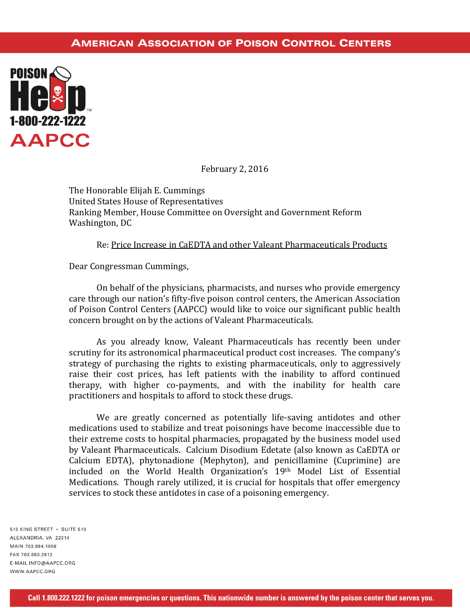## **AMERICAN ASSOCIATION OF POISON CONTROL CENTERS**



February 2, 2016

The Honorable Elijah E. Cummings United States House of Representatives Ranking Member, House Committee on Oversight and Government Reform Washington, DC

## Re: Price Increase in CaEDTA and other Valeant Pharmaceuticals Products

Dear Congressman Cummings,

On behalf of the physicians, pharmacists, and nurses who provide emergency care through our nation's fifty-five poison control centers, the American Association of Poison Control Centers (AAPCC) would like to voice our significant public health concern brought on by the actions of Valeant Pharmaceuticals.

As you already know, Valeant Pharmaceuticals has recently been under scrutiny for its astronomical pharmaceutical product cost increases. The company's strategy of purchasing the rights to existing pharmaceuticals, only to aggressively raise their cost prices, has left patients with the inability to afford continued therapy, with higher co-payments, and with the inability for health care practitioners and hospitals to afford to stock these drugs.

We are greatly concerned as potentially life-saving antidotes and other medications used to stabilize and treat poisonings have become inaccessible due to their extreme costs to hospital pharmacies, propagated by the business model used by Valeant Pharmaceuticals. Calcium Disodium Edetate (also known as CaEDTA or Calcium EDTA), phytonadione (Mephyton), and penicillamine (Cuprimine) are included on the World Health Organization's 19th Model List of Essential Medications. Though rarely utilized, it is crucial for hospitals that offer emergency services to stock these antidotes in case of a poisoning emergency.

515 KING STREET · SUITE 510 ALEXANDRIA, VA 22314 MAIN 703.894.1858 FAX 703 683 2812 E-MAIL INFO@AAPCC.ORG WWW.AAPCC.ORG